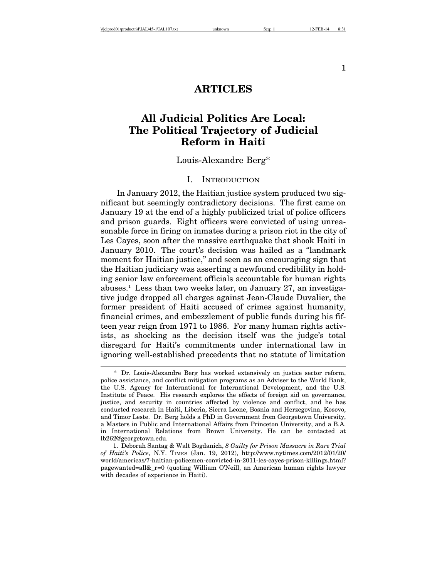1

# **ARTICLES**

# **All Judicial Politics Are Local: The Political Trajectory of Judicial Reform in Haiti**

Louis-Alexandre Berg\*

#### I. INTRODUCTION

In January 2012, the Haitian justice system produced two significant but seemingly contradictory decisions. The first came on January 19 at the end of a highly publicized trial of police officers and prison guards. Eight officers were convicted of using unreasonable force in firing on inmates during a prison riot in the city of Les Cayes, soon after the massive earthquake that shook Haiti in January 2010. The court's decision was hailed as a "landmark moment for Haitian justice," and seen as an encouraging sign that the Haitian judiciary was asserting a newfound credibility in holding senior law enforcement officials accountable for human rights abuses.<sup>1</sup> Less than two weeks later, on January 27, an investigative judge dropped all charges against Jean-Claude Duvalier, the former president of Haiti accused of crimes against humanity, financial crimes, and embezzlement of public funds during his fifteen year reign from 1971 to 1986. For many human rights activists, as shocking as the decision itself was the judge's total disregard for Haiti's commitments under international law in ignoring well-established precedents that no statute of limitation

<sup>\*</sup> Dr. Louis-Alexandre Berg has worked extensively on justice sector reform, police assistance, and conflict mitigation programs as an Adviser to the World Bank, the U.S. Agency for International for International Development, and the U.S. Institute of Peace. His research explores the effects of foreign aid on governance, justice, and security in countries affected by violence and conflict, and he has conducted research in Haiti, Liberia, Sierra Leone, Bosnia and Herzegovina, Kosovo, and Timor Leste. Dr. Berg holds a PhD in Government from Georgetown University, a Masters in Public and International Affairs from Princeton University, and a B.A. in International Relations from Brown University. He can be contacted at lb262@georgetown.edu.

<sup>1.</sup> Deborah Santag & Walt Bogdanich, *8 Guilty for Prison Massacre in Rare Trial of Haiti's Police*, N.Y. TIMES (Jan. 19, 2012), http://www.nytimes.com/2012/01/20/ world/americas/7-haitian-policemen-convicted-in-2011-les-cayes-prison-killings.html? pagewanted=all&\_r=0 (quoting William O'Neill, an American human rights lawyer with decades of experience in Haiti).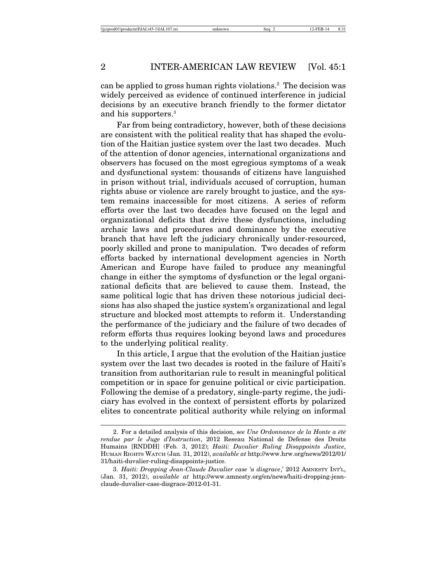can be applied to gross human rights violations.<sup>2</sup> The decision was widely perceived as evidence of continued interference in judicial decisions by an executive branch friendly to the former dictator and his supporters.3

Far from being contradictory, however, both of these decisions are consistent with the political reality that has shaped the evolution of the Haitian justice system over the last two decades. Much of the attention of donor agencies, international organizations and observers has focused on the most egregious symptoms of a weak and dysfunctional system: thousands of citizens have languished in prison without trial, individuals accused of corruption, human rights abuse or violence are rarely brought to justice, and the system remains inaccessible for most citizens. A series of reform efforts over the last two decades have focused on the legal and organizational deficits that drive these dysfunctions, including archaic laws and procedures and dominance by the executive branch that have left the judiciary chronically under-resourced, poorly skilled and prone to manipulation. Two decades of reform efforts backed by international development agencies in North American and Europe have failed to produce any meaningful change in either the symptoms of dysfunction or the legal organizational deficits that are believed to cause them. Instead, the same political logic that has driven these notorious judicial decisions has also shaped the justice system's organizational and legal structure and blocked most attempts to reform it. Understanding the performance of the judiciary and the failure of two decades of reform efforts thus requires looking beyond laws and procedures to the underlying political reality.

In this article, I argue that the evolution of the Haitian justice system over the last two decades is rooted in the failure of Haiti's transition from authoritarian rule to result in meaningful political competition or in space for genuine political or civic participation. Following the demise of a predatory, single-party regime, the judiciary has evolved in the context of persistent efforts by polarized elites to concentrate political authority while relying on informal

<sup>2.</sup> For a detailed analysis of this decision, *see Une Ordonnance de la Honte a été rendue par le Juge d'Instruction*, 2012 Reseau National de Defense des Droits Humains [RNDDH] (Feb. 3, 2012); *Haiti: Duvalier Ruling Disappoints Justice*, HUMAN RIGHTS WATCH (Jan. 31, 2012), *available at* http://www.hrw.org/news/2012/01/ 31/haiti-duvalier-ruling-disappoints-justice.

<sup>3.</sup> *Haiti: Dropping Jean-Claude Duvalier case 'a disgrace*,' 2012 AMNESTY INT'L, (Jan. 31, 2012), *available at* http://www.amnesty.org/en/news/haiti-dropping-jeanclaude-duvalier-case-disgrace-2012-01-31.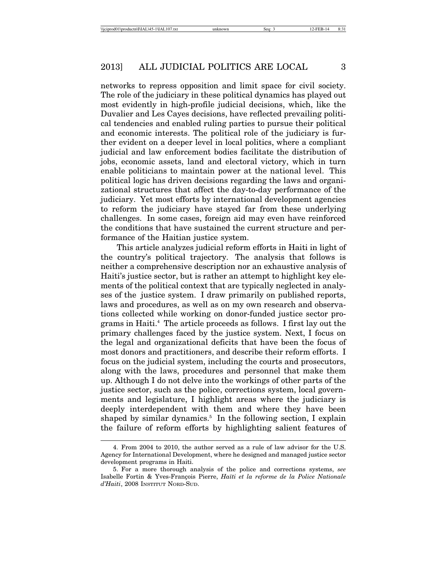networks to repress opposition and limit space for civil society. The role of the judiciary in these political dynamics has played out most evidently in high-profile judicial decisions, which, like the Duvalier and Les Cayes decisions, have reflected prevailing political tendencies and enabled ruling parties to pursue their political and economic interests. The political role of the judiciary is further evident on a deeper level in local politics, where a compliant judicial and law enforcement bodies facilitate the distribution of jobs, economic assets, land and electoral victory, which in turn enable politicians to maintain power at the national level. This political logic has driven decisions regarding the laws and organizational structures that affect the day-to-day performance of the judiciary. Yet most efforts by international development agencies to reform the judiciary have stayed far from these underlying challenges. In some cases, foreign aid may even have reinforced the conditions that have sustained the current structure and performance of the Haitian justice system.

This article analyzes judicial reform efforts in Haiti in light of the country's political trajectory. The analysis that follows is neither a comprehensive description nor an exhaustive analysis of Haiti's justice sector, but is rather an attempt to highlight key elements of the political context that are typically neglected in analyses of the justice system. I draw primarily on published reports, laws and procedures, as well as on my own research and observations collected while working on donor-funded justice sector programs in Haiti.4 The article proceeds as follows. I first lay out the primary challenges faced by the justice system. Next, I focus on the legal and organizational deficits that have been the focus of most donors and practitioners, and describe their reform efforts. I focus on the judicial system, including the courts and prosecutors, along with the laws, procedures and personnel that make them up. Although I do not delve into the workings of other parts of the justice sector, such as the police, corrections system, local governments and legislature, I highlight areas where the judiciary is deeply interdependent with them and where they have been shaped by similar dynamics.<sup>5</sup> In the following section, I explain the failure of reform efforts by highlighting salient features of

<sup>4.</sup> From 2004 to 2010, the author served as a rule of law advisor for the U.S. Agency for International Development, where he designed and managed justice sector development programs in Haiti.

<sup>5.</sup> For a more thorough analysis of the police and corrections systems, *see* Isabelle Fortin & Yves-Fran¸cois Pierre, *Ha¨ıti et la reforme de la Police Nationale d'Haiti*, 2008 INSTITUT NORD-SUD.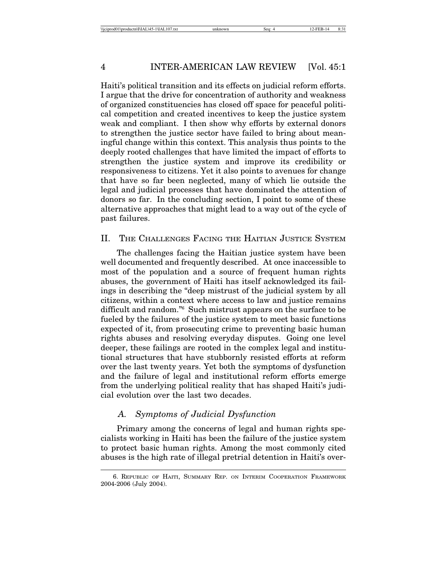Haiti's political transition and its effects on judicial reform efforts. I argue that the drive for concentration of authority and weakness of organized constituencies has closed off space for peaceful political competition and created incentives to keep the justice system weak and compliant. I then show why efforts by external donors to strengthen the justice sector have failed to bring about meaningful change within this context. This analysis thus points to the deeply rooted challenges that have limited the impact of efforts to strengthen the justice system and improve its credibility or responsiveness to citizens. Yet it also points to avenues for change that have so far been neglected, many of which lie outside the legal and judicial processes that have dominated the attention of donors so far. In the concluding section, I point to some of these alternative approaches that might lead to a way out of the cycle of past failures.

# II. THE CHALLENGES FACING THE HAITIAN JUSTICE SYSTEM

The challenges facing the Haitian justice system have been well documented and frequently described. At once inaccessible to most of the population and a source of frequent human rights abuses, the government of Haiti has itself acknowledged its failings in describing the "deep mistrust of the judicial system by all citizens, within a context where access to law and justice remains difficult and random."6 Such mistrust appears on the surface to be fueled by the failures of the justice system to meet basic functions expected of it, from prosecuting crime to preventing basic human rights abuses and resolving everyday disputes. Going one level deeper, these failings are rooted in the complex legal and institutional structures that have stubbornly resisted efforts at reform over the last twenty years. Yet both the symptoms of dysfunction and the failure of legal and institutional reform efforts emerge from the underlying political reality that has shaped Haiti's judicial evolution over the last two decades.

# *A. Symptoms of Judicial Dysfunction*

Primary among the concerns of legal and human rights specialists working in Haiti has been the failure of the justice system to protect basic human rights. Among the most commonly cited abuses is the high rate of illegal pretrial detention in Haiti's over-

<sup>6.</sup> REPUBLIC OF HAITI, SUMMARY REP. ON INTERIM COOPERATION FRAMEWORK 2004-2006 (July 2004).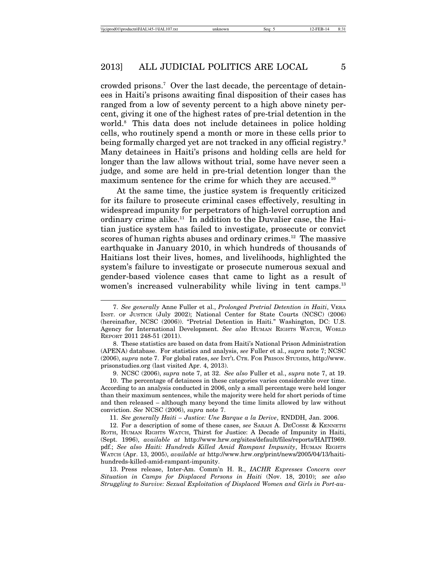crowded prisons.7 Over the last decade, the percentage of detainees in Haiti's prisons awaiting final disposition of their cases has ranged from a low of seventy percent to a high above ninety percent, giving it one of the highest rates of pre-trial detention in the world.8 This data does not include detainees in police holding cells, who routinely spend a month or more in these cells prior to being formally charged yet are not tracked in any official registry.<sup>9</sup> Many detainees in Haiti's prisons and holding cells are held for longer than the law allows without trial, some have never seen a judge, and some are held in pre-trial detention longer than the maximum sentence for the crime for which they are accused.<sup>10</sup>

At the same time, the justice system is frequently criticized for its failure to prosecute criminal cases effectively, resulting in widespread impunity for perpetrators of high-level corruption and ordinary crime alike.<sup>11</sup> In addition to the Duvalier case, the Haitian justice system has failed to investigate, prosecute or convict scores of human rights abuses and ordinary crimes.<sup>12</sup> The massive earthquake in January 2010, in which hundreds of thousands of Haitians lost their lives, homes, and livelihoods, highlighted the system's failure to investigate or prosecute numerous sexual and gender-based violence cases that came to light as a result of women's increased vulnerability while living in tent camps.<sup>13</sup>

9. NCSC (2006), *supra* note 7, at 32. *See also* Fuller et al., *supra* note 7, at 19.

10. The percentage of detainees in these categories varies considerable over time. According to an analysis conducted in 2006, only a small percentage were held longer than their maximum sentences, while the majority were held for short periods of time and then released – although many beyond the time limits allowed by law without conviction. *See* NCSC (2006), *supra* note 7.

11. *See generally Haiti – Justice: Une Barque a la Derive*, RNDDH, Jan. 2006.

12. For a description of some of these cases, *see* SARAH A. DECOSSE & KENNETH ROTH, HUMAN RIGHTS WATCH, Thirst for Justice: A Decade of Impunity in Haiti, (Sept. 1996), *available at* http://www.hrw.org/sites/default/files/reports/HAITI969. pdf.; *See also Haiti: Hundreds Killed Amid Rampant Impunity*, HUMAN RIGHTS WATCH (Apr. 13, 2005), *available at* http://www.hrw.org/print/news/2005/04/13/haitihundreds-killed-amid-rampant-impunity.

13. Press release, Inter-Am. Comm'n H. R., *IACHR Expresses Concern over Situation in Camps for Displaced Persons in Haiti* (Nov. 18, 2010); *see also Struggling to Survive: Sexual Exploitation of Displaced Women and Girls in Port-au-*

<sup>7.</sup> *See generally* Anne Fuller et al., *Prolonged Pretrial Detention in Haiti*, VERA INST. OF JUSTICE (July 2002); National Center for State Courts (NCSC) (2006) (hereinafter, NCSC (2006)). "Pretrial Detention in Haiti." Washington, DC: U.S. Agency for International Development. *See also* HUMAN RIGHTS WATCH, WORLD REPORT 2011 248-51 (2011).

<sup>8.</sup> These statistics are based on data from Haiti's National Prison Administration (APENA) database. For statistics and analysis, *see* Fuller et al., *supra* note 7; NCSC (2006), *supra* note 7. For global rates, *see* INT'L CTR. FOR PRISON STUDIES, http://www. prisonstudies.org (last visited Apr. 4, 2013).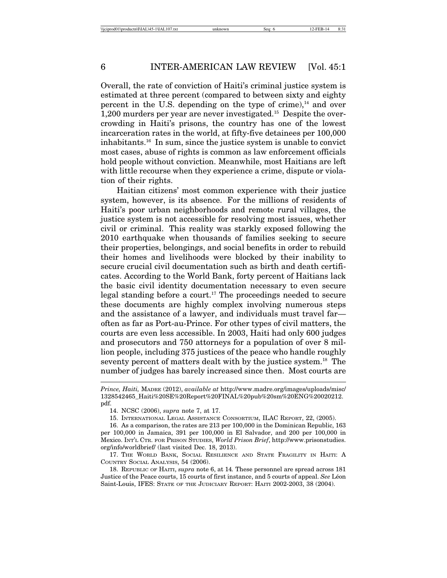Overall, the rate of conviction of Haiti's criminal justice system is estimated at three percent (compared to between sixty and eighty percent in the U.S. depending on the type of crime), $^{14}$  and over 1,200 murders per year are never investigated.15 Despite the overcrowding in Haiti's prisons, the country has one of the lowest incarceration rates in the world, at fifty-five detainees per 100,000 inhabitants.16 In sum, since the justice system is unable to convict most cases, abuse of rights is common as law enforcement officials hold people without conviction. Meanwhile, most Haitians are left with little recourse when they experience a crime, dispute or violation of their rights.

Haitian citizens' most common experience with their justice system, however, is its absence. For the millions of residents of Haiti's poor urban neighborhoods and remote rural villages, the justice system is not accessible for resolving most issues, whether civil or criminal. This reality was starkly exposed following the 2010 earthquake when thousands of families seeking to secure their properties, belongings, and social benefits in order to rebuild their homes and livelihoods were blocked by their inability to secure crucial civil documentation such as birth and death certificates. According to the World Bank, forty percent of Haitians lack the basic civil identity documentation necessary to even secure legal standing before a court.17 The proceedings needed to secure these documents are highly complex involving numerous steps and the assistance of a lawyer, and individuals must travel far often as far as Port-au-Prince. For other types of civil matters, the courts are even less accessible. In 2003, Haiti had only 600 judges and prosecutors and 750 attorneys for a population of over 8 million people, including 375 justices of the peace who handle roughly seventy percent of matters dealt with by the justice system.<sup>18</sup> The number of judges has barely increased since then. Most courts are

18. REPUBLIC OF HAITI, *supra* note 6, at 14*.* These personnel are spread across 181 Justice of the Peace courts, 15 courts of first instance, and 5 courts of appeal. *See* Léon Saint-Louis, IFES: STATE OF THE JUDICIARY REPORT: HAITI 2002-2003, 38 (2004).

*Prince, Haiti,* MADRE (2012), *available at* http://www.madre.org/images/uploads/misc/ 1328542465\_Haiti%20SE%20Report%20FINAL%20pub%20sm%20ENG%20020212. pdf.

<sup>14.</sup> NCSC (2006), *supra* note 7, at 17.

<sup>15.</sup> INTERNATIONAL LEGAL ASSISTANCE CONSORTIUM, ILAC REPORT, 22, (2005).

<sup>16.</sup> As a comparison, the rates are 213 per 100,000 in the Dominican Republic, 163 per 100,000 in Jamaica, 391 per 100,000 in El Salvador, and 200 per 100,000 in Mexico. INT'L CTR. FOR PRISON STUDIES, *World Prison Brief*, http://www.prisonstudies. org/info/worldbrief/ (last visited Dec. 18, 2013).

<sup>17.</sup> THE WORLD BANK, SOCIAL RESILIENCE AND STATE FRAGILITY IN HAITI: A COUNTRY SOCIAL ANALYSIS, 54 (2006).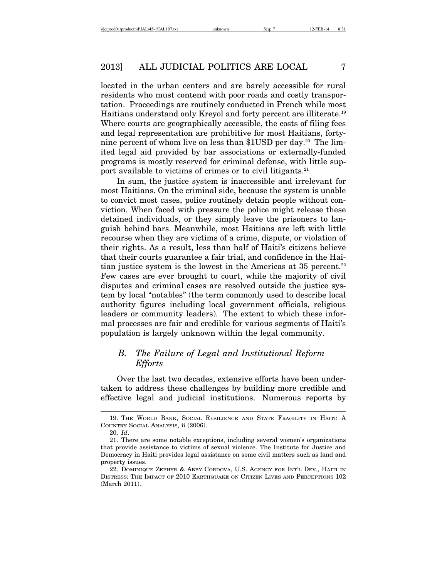located in the urban centers and are barely accessible for rural residents who must contend with poor roads and costly transportation. Proceedings are routinely conducted in French while most Haitians understand only Kreyol and forty percent are illiterate.19 Where courts are geographically accessible, the costs of filing fees and legal representation are prohibitive for most Haitians, fortynine percent of whom live on less than \$1USD per day.<sup>20</sup> The limited legal aid provided by bar associations or externally-funded programs is mostly reserved for criminal defense, with little support available to victims of crimes or to civil litigants.<sup>21</sup>

In sum, the justice system is inaccessible and irrelevant for most Haitians. On the criminal side, because the system is unable to convict most cases, police routinely detain people without conviction. When faced with pressure the police might release these detained individuals, or they simply leave the prisoners to languish behind bars. Meanwhile, most Haitians are left with little recourse when they are victims of a crime, dispute, or violation of their rights. As a result, less than half of Haiti's citizens believe that their courts guarantee a fair trial, and confidence in the Haitian justice system is the lowest in the Americas at 35 percent. $22$ Few cases are ever brought to court, while the majority of civil disputes and criminal cases are resolved outside the justice system by local "notables" (the term commonly used to describe local authority figures including local government officials, religious leaders or community leaders). The extent to which these informal processes are fair and credible for various segments of Haiti's population is largely unknown within the legal community.

# *B. The Failure of Legal and Institutional Reform Efforts*

Over the last two decades, extensive efforts have been undertaken to address these challenges by building more credible and effective legal and judicial institutions. Numerous reports by

<sup>19.</sup> THE WORLD BANK, SOCIAL RESILIENCE AND STATE FRAGILITY IN HAITI: A COUNTRY SOCIAL ANALYSIS, ii (2006).

<sup>20.</sup> *Id*.

<sup>21.</sup> There are some notable exceptions, including several women's organizations that provide assistance to victims of sexual violence. The Institute for Justice and Democracy in Haiti provides legal assistance on some civil matters such as land and property issues.

<sup>22.</sup> DOMINIQUE ZEPHYR & ABBY CORDOVA, U.S. AGENCY FOR INT'L DEV., HAITI IN DISTRESS: THE IMPACT OF 2010 EARTHQUAKE ON CITIZEN LIVES AND PERCEPTIONS 102 (March 2011).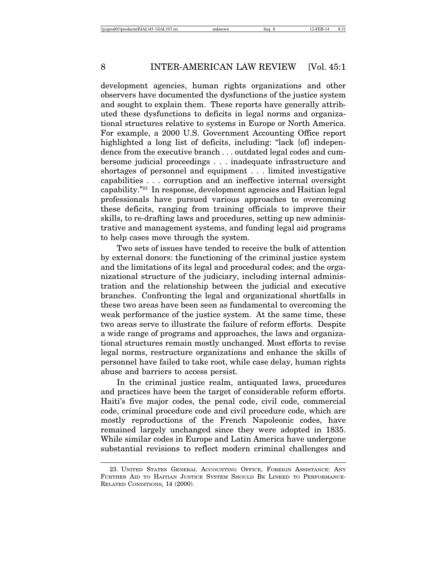development agencies, human rights organizations and other observers have documented the dysfunctions of the justice system and sought to explain them. These reports have generally attributed these dysfunctions to deficits in legal norms and organizational structures relative to systems in Europe or North America. For example, a 2000 U.S. Government Accounting Office report highlighted a long list of deficits, including: "lack [of] independence from the executive branch . . . outdated legal codes and cumbersome judicial proceedings . . . inadequate infrastructure and shortages of personnel and equipment . . . limited investigative capabilities . . . corruption and an ineffective internal oversight capability."23 In response, development agencies and Haitian legal professionals have pursued various approaches to overcoming these deficits, ranging from training officials to improve their skills, to re-drafting laws and procedures, setting up new administrative and management systems, and funding legal aid programs to help cases move through the system.

Two sets of issues have tended to receive the bulk of attention by external donors: the functioning of the criminal justice system and the limitations of its legal and procedural codes; and the organizational structure of the judiciary, including internal administration and the relationship between the judicial and executive branches. Confronting the legal and organizational shortfalls in these two areas have been seen as fundamental to overcoming the weak performance of the justice system. At the same time, these two areas serve to illustrate the failure of reform efforts. Despite a wide range of programs and approaches, the laws and organizational structures remain mostly unchanged. Most efforts to revise legal norms, restructure organizations and enhance the skills of personnel have failed to take root, while case delay, human rights abuse and barriers to access persist.

In the criminal justice realm, antiquated laws, procedures and practices have been the target of considerable reform efforts. Haiti's five major codes, the penal code, civil code, commercial code, criminal procedure code and civil procedure code, which are mostly reproductions of the French Napoleonic codes, have remained largely unchanged since they were adopted in 1835. While similar codes in Europe and Latin America have undergone substantial revisions to reflect modern criminal challenges and

<sup>23.</sup> UNITED STATES GENERAL ACCOUNTING OFFICE, FOREIGN ASSISTANCE: ANY FURTHER AID TO HAITIAN JUSTICE SYSTEM SHOULD BE LINKED TO PERFORMANCE-RELATED CONDITIONS, 14 (2000).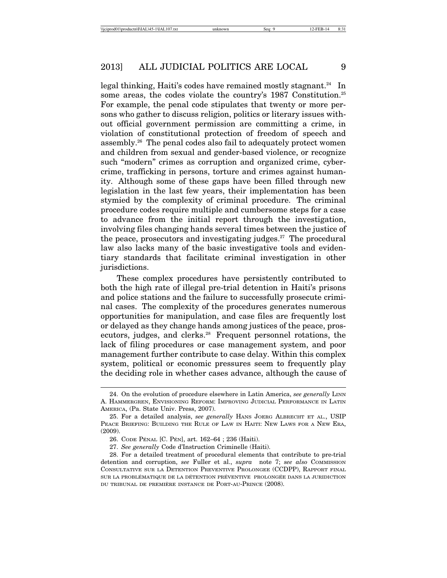legal thinking, Haiti's codes have remained mostly stagnant.<sup>24</sup> In some areas, the codes violate the country's 1987 Constitution.<sup>25</sup> For example, the penal code stipulates that twenty or more persons who gather to discuss religion, politics or literary issues without official government permission are committing a crime, in violation of constitutional protection of freedom of speech and assembly.26 The penal codes also fail to adequately protect women and children from sexual and gender-based violence, or recognize such "modern" crimes as corruption and organized crime, cybercrime, trafficking in persons, torture and crimes against humanity. Although some of these gaps have been filled through new legislation in the last few years, their implementation has been stymied by the complexity of criminal procedure. The criminal procedure codes require multiple and cumbersome steps for a case to advance from the initial report through the investigation, involving files changing hands several times between the justice of the peace, prosecutors and investigating judges. $27$  The procedural law also lacks many of the basic investigative tools and evidentiary standards that facilitate criminal investigation in other jurisdictions.

These complex procedures have persistently contributed to both the high rate of illegal pre-trial detention in Haiti's prisons and police stations and the failure to successfully prosecute criminal cases. The complexity of the procedures generates numerous opportunities for manipulation, and case files are frequently lost or delayed as they change hands among justices of the peace, prosecutors, judges, and clerks.<sup>28</sup> Frequent personnel rotations, the lack of filing procedures or case management system, and poor management further contribute to case delay. Within this complex system, political or economic pressures seem to frequently play the deciding role in whether cases advance, although the cause of

<sup>24.</sup> On the evolution of procedure elsewhere in Latin America, *see generally* LINN A. HAMMERGREN, ENVISIONING REFORM: IMPROVING JUDICIAL PERFORMANCE IN LATIN AMERICA, (Pa. State Univ. Press, 2007).

<sup>25.</sup> For a detailed analysis, *see generally* HANS JOERG ALBRECHT ET AL., USIP PEACE BRIEFING: BUILDING THE RULE OF LAW IN HAITI: NEW LAWS FOR A NEW ERA, (2009).

<sup>26.</sup> CODE PÉNAL [C. PÉN], art. 162–64; 236 (Haiti).

<sup>27.</sup> *See generally* Code d'Instruction Criminelle (Haiti).

<sup>28.</sup> For a detailed treatment of procedural elements that contribute to pre-trial detention and corruption, *see* Fuller et al., *supra* note 7; *see also* COMMISSION CONSULTATIVE SUR LA DETENTION PREVENTIVE PROLONGEE (CCDPP), RAPPORT FINAL SUR LA PROBLÉMATIQUE DE LA DÉTENTION PRÉVENTIVE PROLONGÉE DANS LA JURIDICTION DU TRIBUNAL DE PREMIÈRE INSTANCE DE PORT-AU-PRINCE (2008).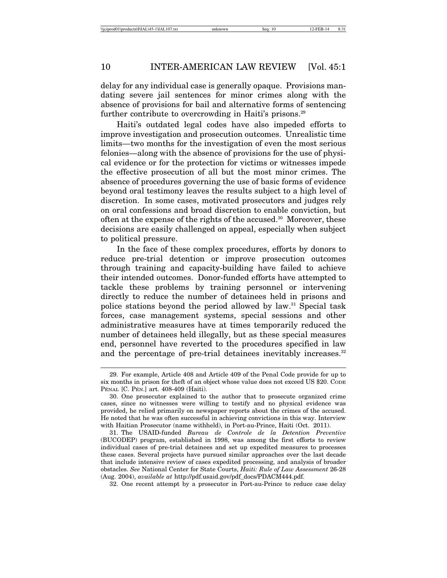delay for any individual case is generally opaque. Provisions mandating severe jail sentences for minor crimes along with the absence of provisions for bail and alternative forms of sentencing further contribute to overcrowding in Haiti's prisons.<sup>29</sup>

Haiti's outdated legal codes have also impeded efforts to improve investigation and prosecution outcomes. Unrealistic time limits—two months for the investigation of even the most serious felonies—along with the absence of provisions for the use of physical evidence or for the protection for victims or witnesses impede the effective prosecution of all but the most minor crimes. The absence of procedures governing the use of basic forms of evidence beyond oral testimony leaves the results subject to a high level of discretion. In some cases, motivated prosecutors and judges rely on oral confessions and broad discretion to enable conviction, but often at the expense of the rights of the accused.30 Moreover, these decisions are easily challenged on appeal, especially when subject to political pressure.

In the face of these complex procedures, efforts by donors to reduce pre-trial detention or improve prosecution outcomes through training and capacity-building have failed to achieve their intended outcomes. Donor-funded efforts have attempted to tackle these problems by training personnel or intervening directly to reduce the number of detainees held in prisons and police stations beyond the period allowed by law.31 Special task forces, case management systems, special sessions and other administrative measures have at times temporarily reduced the number of detainees held illegally, but as these special measures end, personnel have reverted to the procedures specified in law and the percentage of pre-trial detainees inevitably increases.<sup>32</sup>

<sup>29.</sup> For example, Article 408 and Article 409 of the Penal Code provide for up to six months in prison for theft of an object whose value does not exceed US \$20. CODE PÉNAL [C. PÉN.] art. 408-409 (Haiti).

<sup>30.</sup> One prosecutor explained to the author that to prosecute organized crime cases, since no witnesses were willing to testify and no physical evidence was provided, he relied primarily on newspaper reports about the crimes of the accused. He noted that he was often successful in achieving convictions in this way. Interview with Haitian Prosecutor (name withheld), in Port-au-Prince, Haiti (Oct. 2011).

<sup>31.</sup> The USAID-funded *Bureau de Controle de la Detention Preventive* (BUCODEP) program, established in 1998, was among the first efforts to review individual cases of pre-trial detainees and set up expedited measures to processes these cases. Several projects have pursued similar approaches over the last decade that include intensive review of cases expedited processing, and analysis of broader obstacles. *See* National Center for State Courts, *Haiti: Rule of Law Assessment* 26-28 (Aug. 2004), *available at* http://pdf.usaid.gov/pdf\_docs/PDACM444.pdf.

<sup>32.</sup> One recent attempt by a prosecutor in Port-au-Prince to reduce case delay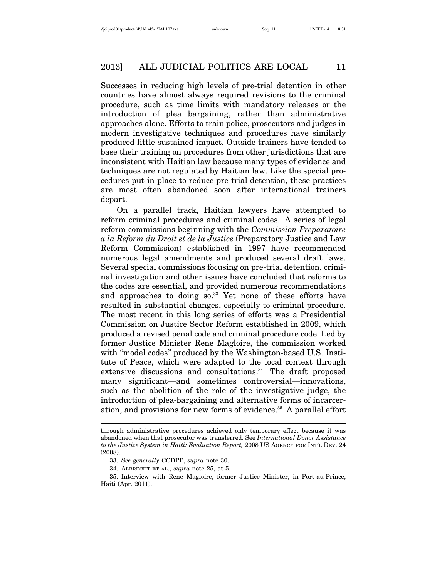Successes in reducing high levels of pre-trial detention in other countries have almost always required revisions to the criminal procedure, such as time limits with mandatory releases or the introduction of plea bargaining, rather than administrative approaches alone. Efforts to train police, prosecutors and judges in modern investigative techniques and procedures have similarly produced little sustained impact. Outside trainers have tended to base their training on procedures from other jurisdictions that are inconsistent with Haitian law because many types of evidence and techniques are not regulated by Haitian law. Like the special procedures put in place to reduce pre-trial detention, these practices are most often abandoned soon after international trainers depart.

On a parallel track, Haitian lawyers have attempted to reform criminal procedures and criminal codes. A series of legal reform commissions beginning with the *Commission Preparatoire a la Reform du Droit et de la Justice* (Preparatory Justice and Law Reform Commission) established in 1997 have recommended numerous legal amendments and produced several draft laws. Several special commissions focusing on pre-trial detention, criminal investigation and other issues have concluded that reforms to the codes are essential, and provided numerous recommendations and approaches to doing so.<sup>33</sup> Yet none of these efforts have resulted in substantial changes, especially to criminal procedure. The most recent in this long series of efforts was a Presidential Commission on Justice Sector Reform established in 2009, which produced a revised penal code and criminal procedure code. Led by former Justice Minister Rene Magloire, the commission worked with "model codes" produced by the Washington-based U.S. Institute of Peace, which were adapted to the local context through extensive discussions and consultations.<sup>34</sup> The draft proposed many significant—and sometimes controversial—innovations, such as the abolition of the role of the investigative judge, the introduction of plea-bargaining and alternative forms of incarceration, and provisions for new forms of evidence.35 A parallel effort

through administrative procedures achieved only temporary effect because it was abandoned when that prosecutor was transferred. See *International Donor Assistance to the Justice System in Haiti: Evaluation Report,* 2008 US AGENCY FOR INT'L DEV. 24 (2008).

<sup>33.</sup> *See generally* CCDPP, *supra* note 30.

<sup>34.</sup> ALBRECHT ET AL., *supra* note 25, at 5.

<sup>35.</sup> Interview with Rene Magloire, former Justice Minister, in Port-au-Prince, Haiti (Apr. 2011).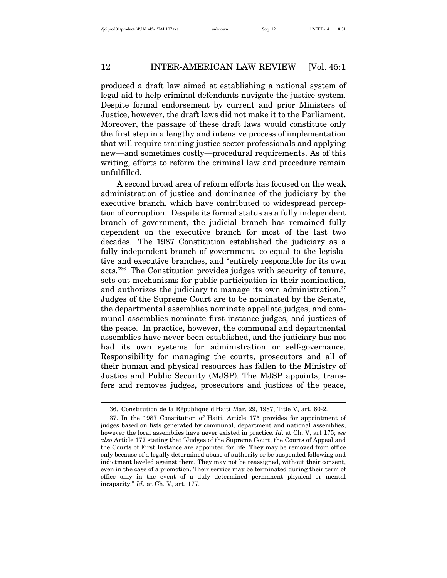produced a draft law aimed at establishing a national system of legal aid to help criminal defendants navigate the justice system. Despite formal endorsement by current and prior Ministers of Justice, however, the draft laws did not make it to the Parliament. Moreover, the passage of these draft laws would constitute only the first step in a lengthy and intensive process of implementation that will require training justice sector professionals and applying new—and sometimes costly—procedural requirements. As of this writing, efforts to reform the criminal law and procedure remain unfulfilled.

A second broad area of reform efforts has focused on the weak administration of justice and dominance of the judiciary by the executive branch, which have contributed to widespread perception of corruption. Despite its formal status as a fully independent branch of government, the judicial branch has remained fully dependent on the executive branch for most of the last two decades. The 1987 Constitution established the judiciary as a fully independent branch of government, co-equal to the legislative and executive branches, and "entirely responsible for its own acts."36 The Constitution provides judges with security of tenure, sets out mechanisms for public participation in their nomination, and authorizes the judiciary to manage its own administration.<sup>37</sup> Judges of the Supreme Court are to be nominated by the Senate, the departmental assemblies nominate appellate judges, and communal assemblies nominate first instance judges, and justices of the peace. In practice, however, the communal and departmental assemblies have never been established, and the judiciary has not had its own systems for administration or self-governance. Responsibility for managing the courts, prosecutors and all of their human and physical resources has fallen to the Ministry of Justice and Public Security (MJSP). The MJSP appoints, transfers and removes judges, prosecutors and justices of the peace,

<sup>36.</sup> Constitution de la République d'Haiti Mar. 29, 1987, Title V, art. 60-2.

<sup>37.</sup> In the 1987 Constitution of Haiti, Article 175 provides for appointment of judges based on lists generated by communal, department and national assemblies, however the local assemblies have never existed in practice. *Id*. at Ch. V, art 175; *see also* Article 177 stating that "Judges of the Supreme Court, the Courts of Appeal and the Courts of First Instance are appointed for life. They may be removed from office only because of a legally determined abuse of authority or be suspended following and indictment leveled against them. They may not be reassigned, without their consent, even in the case of a promotion. Their service may be terminated during their term of office only in the event of a duly determined permanent physical or mental incapacity." *Id*. at Ch. V, art. 177.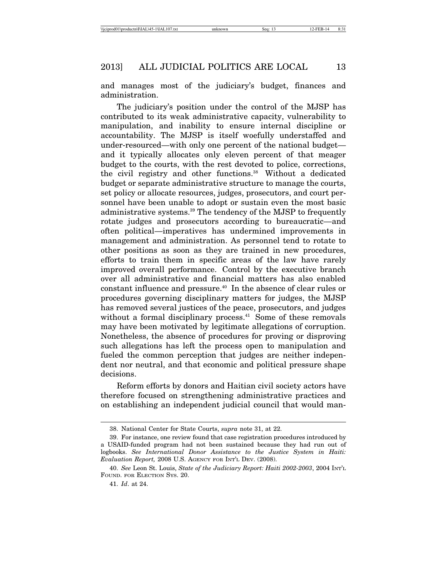and manages most of the judiciary's budget, finances and administration.

The judiciary's position under the control of the MJSP has contributed to its weak administrative capacity, vulnerability to manipulation, and inability to ensure internal discipline or accountability. The MJSP is itself woefully understaffed and under-resourced—with only one percent of the national budget and it typically allocates only eleven percent of that meager budget to the courts, with the rest devoted to police, corrections, the civil registry and other functions.38 Without a dedicated budget or separate administrative structure to manage the courts, set policy or allocate resources, judges, prosecutors, and court personnel have been unable to adopt or sustain even the most basic administrative systems.39 The tendency of the MJSP to frequently rotate judges and prosecutors according to bureaucratic—and often political—imperatives has undermined improvements in management and administration. As personnel tend to rotate to other positions as soon as they are trained in new procedures, efforts to train them in specific areas of the law have rarely improved overall performance. Control by the executive branch over all administrative and financial matters has also enabled constant influence and pressure.40 In the absence of clear rules or procedures governing disciplinary matters for judges, the MJSP has removed several justices of the peace, prosecutors, and judges without a formal disciplinary process.<sup>41</sup> Some of these removals may have been motivated by legitimate allegations of corruption. Nonetheless, the absence of procedures for proving or disproving such allegations has left the process open to manipulation and fueled the common perception that judges are neither independent nor neutral, and that economic and political pressure shape decisions.

Reform efforts by donors and Haitian civil society actors have therefore focused on strengthening administrative practices and on establishing an independent judicial council that would man-

<sup>38.</sup> National Center for State Courts, *supra* note 31, at 22.

<sup>39.</sup> For instance, one review found that case registration procedures introduced by a USAID-funded program had not been sustained because they had run out of logbooks. *See International Donor Assistance to the Justice System in Haiti: Evaluation Report,* 2008 U.S. AGENCY FOR INT'L DEV. (2008).

<sup>40.</sup> *See* Leon St. Louis, *State of the Judiciary Report: Haiti 2002-2003*, 2004 INT'L FOUND. FOR ELECTION SYS. 20.

<sup>41.</sup> *Id*. at 24.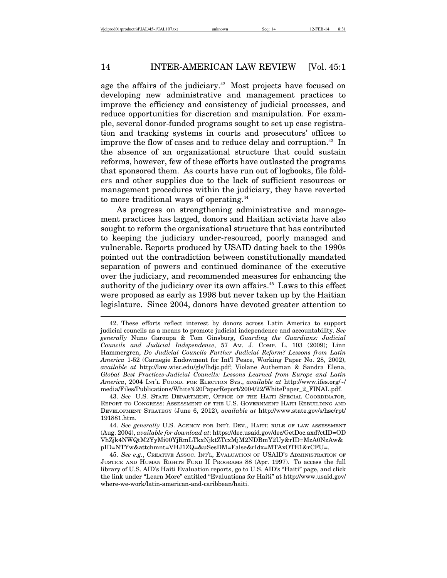age the affairs of the judiciary.<sup> $42$ </sup> Most projects have focused on developing new administrative and management practices to improve the efficiency and consistency of judicial processes, and reduce opportunities for discretion and manipulation. For example, several donor-funded programs sought to set up case registration and tracking systems in courts and prosecutors' offices to improve the flow of cases and to reduce delay and corruption.<sup>43</sup> In the absence of an organizational structure that could sustain reforms, however, few of these efforts have outlasted the programs that sponsored them. As courts have run out of logbooks, file folders and other supplies due to the lack of sufficient resources or management procedures within the judiciary, they have reverted to more traditional ways of operating.<sup>44</sup>

As progress on strengthening administrative and management practices has lagged, donors and Haitian activists have also sought to reform the organizational structure that has contributed to keeping the judiciary under-resourced, poorly managed and vulnerable. Reports produced by USAID dating back to the 1990s pointed out the contradiction between constitutionally mandated separation of powers and continued dominance of the executive over the judiciary, and recommended measures for enhancing the authority of the judiciary over its own affairs.45 Laws to this effect were proposed as early as 1998 but never taken up by the Haitian legislature. Since 2004, donors have devoted greater attention to

<sup>42.</sup> These efforts reflect interest by donors across Latin America to support judicial councils as a means to promote judicial independence and accountability. *See generally* Nuno Garoupa & Tom Ginsburg, *Guarding the Guardians: Judicial Councils and Judicial Independence*, 57 AM. J. COMP. L. 103 (2009); Linn Hammergren, *Do Judicial Councils Further Judicial Reform? Lessons from Latin America* 1-52 (Carnegie Endowment for Int'l Peace, Working Paper No. 28, 2002), *available at* http://law.wisc.edu/gls/lhdjc.pdf; Violane Autheman & Sandra Elena, *Global Best Practices-Judicial Councils: Lessons Learned from Europe and Latin America*, 2004 INT'L FOUND. FOR ELECTION SYS., *available at* http://www.ifes.org/~/ media/Files/Publications/White%20PaperReport/2004/22/WhitePaper\_2\_FINAL.pdf.

<sup>43.</sup> *See* U.S. STATE DEPARTMENT, OFFICE OF THE HAITI SPECIAL COORDINATOR, REPORT TO CONGRESS: ASSESSMENT OF THE U.S. GOVERNMENT HAITI REBUILDING AND DEVELOPMENT STRATEGY (June 6, 2012), *available at* http://www.state.gov/s/hsc/rpt/ 191881.htm.

<sup>44.</sup> *See generally* U.S. AGENCY FOR INT'L DEV., HAITI: RULE OF LAW ASSESSMENT (Aug. 2004), *available for download at*: https://dec.usaid.gov/dec/GetDoc.axd?ctID=OD VhZjk4NWQtM2YyMi00YjRmLTkxNjktZTcxMjM2NDBmY2Uy&rID=MzA0NzAw& pID=NTYw&attchmnt=VHJ1ZQ=&uSesDM=False&rIdx=MTAxOTE1&rCFU=.

<sup>45.</sup> *See e.g.*, CREATIVE ASSOC. INT'L, EVALUATION OF USAID'S ADMINISTRATION OF JUSTICE AND HUMAN RIGHTS FUND II PROGRAMS 88 (Apr. 1997). To access the full library of U.S. AID's Haiti Evaluation reports, go to U.S. AID's "Haiti" page, and click the link under "Learn More" entitled "Evaluations for Haiti" at http://www.usaid.gov/ where-we-work/latin-american-and-caribbean/haiti.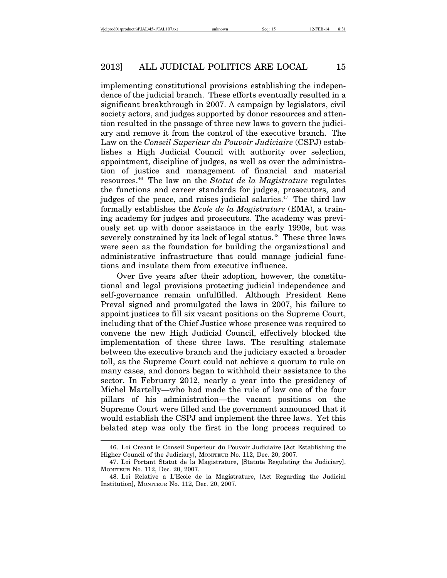implementing constitutional provisions establishing the independence of the judicial branch. These efforts eventually resulted in a significant breakthrough in 2007. A campaign by legislators, civil society actors, and judges supported by donor resources and attention resulted in the passage of three new laws to govern the judiciary and remove it from the control of the executive branch. The Law on the *Conseil Superieur du Pouvoir Judiciaire* (CSPJ) establishes a High Judicial Council with authority over selection, appointment, discipline of judges, as well as over the administration of justice and management of financial and material resources.46 The law on the *Statut de la Magistrature* regulates the functions and career standards for judges, prosecutors, and judges of the peace, and raises judicial salaries.<sup> $47$ </sup> The third law formally establishes the *Ecole de la Magistrature* (EMA), a training academy for judges and prosecutors. The academy was previously set up with donor assistance in the early 1990s, but was severely constrained by its lack of legal status.<sup>48</sup> These three laws were seen as the foundation for building the organizational and administrative infrastructure that could manage judicial functions and insulate them from executive influence.

Over five years after their adoption, however, the constitutional and legal provisions protecting judicial independence and self-governance remain unfulfilled. Although President Rene Preval signed and promulgated the laws in 2007, his failure to appoint justices to fill six vacant positions on the Supreme Court, including that of the Chief Justice whose presence was required to convene the new High Judicial Council, effectively blocked the implementation of these three laws. The resulting stalemate between the executive branch and the judiciary exacted a broader toll, as the Supreme Court could not achieve a quorum to rule on many cases, and donors began to withhold their assistance to the sector. In February 2012, nearly a year into the presidency of Michel Martelly—who had made the rule of law one of the four pillars of his administration—the vacant positions on the Supreme Court were filled and the government announced that it would establish the CSPJ and implement the three laws. Yet this belated step was only the first in the long process required to

<sup>46.</sup> Loi Creant le Conseil Superieur du Pouvoir Judiciaire [Act Establishing the Higher Council of the Judiciary], MONITEUR No. 112, Dec. 20, 2007.

<sup>47.</sup> Loi Portant Statut de la Magistrature, [Statute Regulating the Judiciary], MONITEUR No. 112, Dec. 20, 2007.

<sup>48.</sup> Loi Relative a L'Ecole de la Magistrature, [Act Regarding the Judicial Institution], MONITEUR No. 112, Dec. 20, 2007.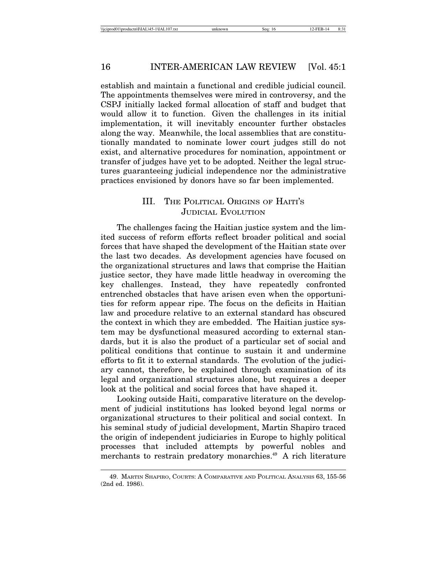establish and maintain a functional and credible judicial council. The appointments themselves were mired in controversy, and the CSPJ initially lacked formal allocation of staff and budget that would allow it to function. Given the challenges in its initial implementation, it will inevitably encounter further obstacles along the way. Meanwhile, the local assemblies that are constitutionally mandated to nominate lower court judges still do not exist, and alternative procedures for nomination, appointment or transfer of judges have yet to be adopted. Neither the legal structures guaranteeing judicial independence nor the administrative practices envisioned by donors have so far been implemented.

# III. THE POLITICAL ORIGINS OF HAITI'S JUDICIAL EVOLUTION

The challenges facing the Haitian justice system and the limited success of reform efforts reflect broader political and social forces that have shaped the development of the Haitian state over the last two decades. As development agencies have focused on the organizational structures and laws that comprise the Haitian justice sector, they have made little headway in overcoming the key challenges. Instead, they have repeatedly confronted entrenched obstacles that have arisen even when the opportunities for reform appear ripe. The focus on the deficits in Haitian law and procedure relative to an external standard has obscured the context in which they are embedded. The Haitian justice system may be dysfunctional measured according to external standards, but it is also the product of a particular set of social and political conditions that continue to sustain it and undermine efforts to fit it to external standards. The evolution of the judiciary cannot, therefore, be explained through examination of its legal and organizational structures alone, but requires a deeper look at the political and social forces that have shaped it.

Looking outside Haiti, comparative literature on the development of judicial institutions has looked beyond legal norms or organizational structures to their political and social context. In his seminal study of judicial development, Martin Shapiro traced the origin of independent judiciaries in Europe to highly political processes that included attempts by powerful nobles and merchants to restrain predatory monarchies.<sup>49</sup> A rich literature

<sup>49.</sup> MARTIN SHAPIRO, COURTS: A COMPARATIVE AND POLITICAL ANALYSIS 63, 155-56 (2nd ed. 1986).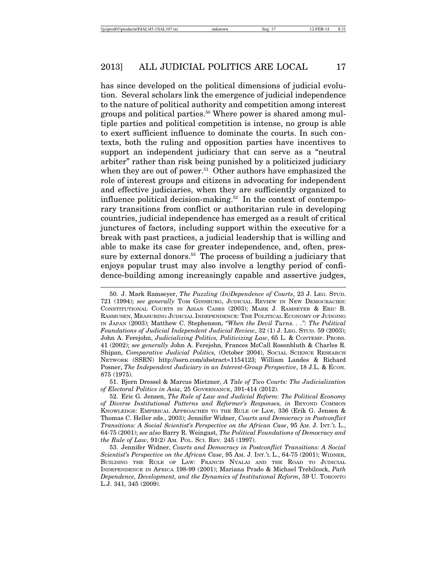has since developed on the political dimensions of judicial evolution. Several scholars link the emergence of judicial independence to the nature of political authority and competition among interest groups and political parties.<sup>50</sup> Where power is shared among multiple parties and political competition is intense, no group is able to exert sufficient influence to dominate the courts. In such contexts, both the ruling and opposition parties have incentives to support an independent judiciary that can serve as a "neutral arbiter" rather than risk being punished by a politicized judiciary when they are out of power.<sup>51</sup> Other authors have emphasized the role of interest groups and citizens in advocating for independent and effective judiciaries, when they are sufficiently organized to influence political decision-making.52 In the context of contemporary transitions from conflict or authoritarian rule in developing countries, judicial independence has emerged as a result of critical junctures of factors, including support within the executive for a break with past practices, a judicial leadership that is willing and able to make its case for greater independence, and, often, pressure by external donors.<sup>53</sup> The process of building a judiciary that enjoys popular trust may also involve a lengthy period of confidence-building among increasingly capable and assertive judges,

51. Bjorn Dressel & Marcus Mietzner, *A Tale of Two Courts: The Judicialization of Electoral Politics in Asia*, 25 GOVERNANCE, 391-414 (2012).

<sup>50.</sup> J. Mark Ramseyer, *The Puzzling (In)Dependence of Courts*, 23 J. LEG. STUD. 721 (1994); *see generally* TOM GINSBURG, JUDICIAL REVIEW IN NEW DEMOCRACIES: CONSTITUTIONAL COURTS IN ASIAN CASES (2003); MARK J. RAMSEYER & ERIC B. RASMUSEN, MEASURING JUDICIAL INDEPENDENCE: THE POLITICAL ECONOMY OF JUDGING IN JAPAN (2003); Matthew C. Stephenson, *"When the Devil Turns. . .": The Political Foundations of Judicial Independent Judicial Review*, 32 (1) J. LEG. STUD. 59 (2003); John A. Ferejohn, *Judicializing Politics, Politicizing Law*, 65 L. & CONTEMP. PROBS. 41 (2002); *see generally* John A. Ferejohn, Frances McCall Rosenbluth & Charles R. Shipan, *Comparative Judicial Politics,* (October 2004), SOCIAL SCIENCE RESEARCH NETWORK (SSRN) http://ssrn.com/abstract=1154123; William Landes & Richard Posner, *The Independent Judiciary in an Interest-Group Perspective*, 18 J.L. & ECON. 875 (1975).

<sup>52.</sup> Eric G. Jensen, *The Rule of Law and Judicial Reform: The Political Economy of Diverse Institutional Patterns and Reformer's Responses, in* BEYOND COMMON KNOWLEDGE: EMPIRICAL APPROACHES TO THE RULE OF LAW, 336 (Erik G. Jensen & Thomas C. Heller eds., 2003); Jennifer Widner, *Courts and Democracy in Postconflict Transitions: A Social Scientist's Perspective on the African Case*, 95 AM. J. INT.'L L., 64-75 (2001); *see also* Barry R. Weingast, *The Political Foundations of Democracy and the Rule of Law*, 91(2) AM. POL. SCI. REV. 245 (1997).

<sup>53.</sup> Jennifer Widner, *Courts and Democracy in Postconflict Transitions: A Social Scientist's Perspective on the African Case*, 95 AM. J. INT.'L L., 64-75 (2001); WIDNER, BUILDING THE RULE OF LAW: FRANCIS NYALAI AND THE ROAD TO JUDICIAL INDEPENDENCE IN AFRICA 198-99 (2001); Mariana Prado & Michael Trebilcock, *Path Dependence, Development, and the Dynamics of Institutional Reform*, 59 U. TORONTO L.J. 341, 345 (2009).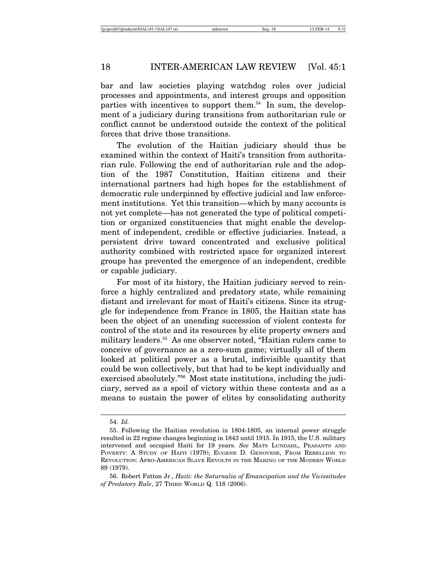bar and law societies playing watchdog roles over judicial processes and appointments, and interest groups and opposition parties with incentives to support them. $54$  In sum, the development of a judiciary during transitions from authoritarian rule or conflict cannot be understood outside the context of the political forces that drive those transitions.

The evolution of the Haitian judiciary should thus be examined within the context of Haiti's transition from authoritarian rule. Following the end of authoritarian rule and the adoption of the 1987 Constitution, Haitian citizens and their international partners had high hopes for the establishment of democratic rule underpinned by effective judicial and law enforcement institutions. Yet this transition—which by many accounts is not yet complete—has not generated the type of political competition or organized constituencies that might enable the development of independent, credible or effective judiciaries. Instead, a persistent drive toward concentrated and exclusive political authority combined with restricted space for organized interest groups has prevented the emergence of an independent, credible or capable judiciary.

For most of its history, the Haitian judiciary served to reinforce a highly centralized and predatory state, while remaining distant and irrelevant for most of Haiti's citizens. Since its struggle for independence from France in 1805, the Haitian state has been the object of an unending succession of violent contests for control of the state and its resources by elite property owners and military leaders.<sup>55</sup> As one observer noted, "Haitian rulers came to conceive of governance as a zero-sum game; virtually all of them looked at political power as a brutal, indivisible quantity that could be won collectively, but that had to be kept individually and exercised absolutely."56 Most state institutions, including the judiciary, served as a spoil of victory within these contests and as a means to sustain the power of elites by consolidating authority

<sup>54.</sup> *Id.*

<sup>55.</sup> Following the Haitian revolution in 1804-1805, an internal power struggle resulted in 22 regime changes beginning in 1843 until 1915. In 1915, the U.S. military intervened and occupied Haiti for 19 years. *See* MATS LUNDAHL, PEASANTS AND POVERTY: A STUDY OF HAITI (1979); EUGENE D. GENOVESE, FROM REBELLION TO REVOLUTION: AFRO-AMERICAN SLAVE REVOLTS IN THE MAKING OF THE MODERN WORLD 89 (1979).

<sup>56.</sup> Robert Fatton Jr., *Haiti: the Saturnalia of Emancipation and the Vicissitudes of Predatory Rule*, 27 THIRD WORLD Q. 118 (2006).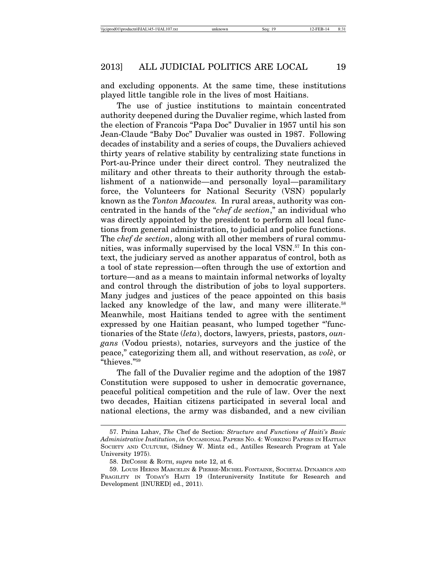and excluding opponents. At the same time, these institutions played little tangible role in the lives of most Haitians.

The use of justice institutions to maintain concentrated authority deepened during the Duvalier regime, which lasted from the election of Francois "Papa Doc" Duvalier in 1957 until his son Jean-Claude "Baby Doc" Duvalier was ousted in 1987. Following decades of instability and a series of coups, the Duvaliers achieved thirty years of relative stability by centralizing state functions in Port-au-Prince under their direct control. They neutralized the military and other threats to their authority through the establishment of a nationwide—and personally loyal—paramilitary force, the Volunteers for National Security (VSN) popularly known as the *Tonton Macoutes.* In rural areas, authority was concentrated in the hands of the "*chef de section*," an individual who was directly appointed by the president to perform all local functions from general administration, to judicial and police functions. The *chef de section*, along with all other members of rural communities, was informally supervised by the local VSN.57 In this context, the judiciary served as another apparatus of control, both as a tool of state repression—often through the use of extortion and torture—and as a means to maintain informal networks of loyalty and control through the distribution of jobs to loyal supporters. Many judges and justices of the peace appointed on this basis lacked any knowledge of the law, and many were illiterate.<sup>58</sup> Meanwhile, most Haitians tended to agree with the sentiment expressed by one Haitian peasant, who lumped together "functionaries of the State (*leta*), doctors, lawyers, priests, pastors, *oungans* (Vodou priests), notaries, surveyors and the justice of the peace," categorizing them all, and without reservation, as *vole*, or "thieves."59

The fall of the Duvalier regime and the adoption of the 1987 Constitution were supposed to usher in democratic governance, peaceful political competition and the rule of law. Over the next two decades, Haitian citizens participated in several local and national elections, the army was disbanded, and a new civilian

<sup>57.</sup> Pnina Lahav, *The* Chef de Section*: Structure and Functions of Haiti's Basic Administrative Institution*, *in* OCCASIONAL PAPERS NO. 4: WORKING PAPERS IN HAITIAN SOCIETY AND CULTURE, (Sidney W. Mintz ed., Antilles Research Program at Yale University 1975).

<sup>58.</sup> DECOSSE & ROTH, *supra* note 12, at 6.

<sup>59.</sup> LOUIS HERNS MARCELIN & PIERRE-MICHEL FONTAINE, SOCIETAL DYNAMICS AND FRAGILITY IN TODAY'S HAITI 19 (Interuniversity Institute for Research and Development [INURED] ed., 2011).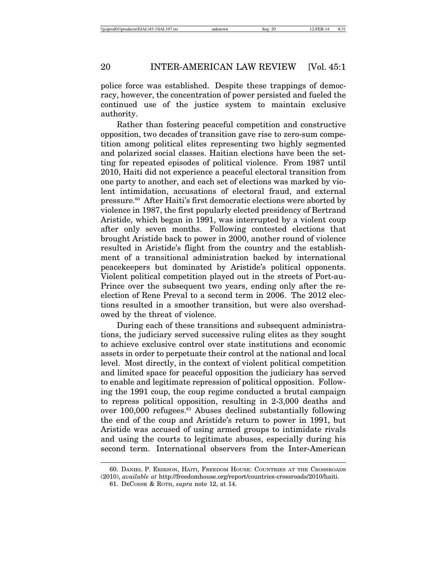police force was established. Despite these trappings of democracy, however, the concentration of power persisted and fueled the continued use of the justice system to maintain exclusive authority.

Rather than fostering peaceful competition and constructive opposition, two decades of transition gave rise to zero-sum competition among political elites representing two highly segmented and polarized social classes. Haitian elections have been the setting for repeated episodes of political violence. From 1987 until 2010, Haiti did not experience a peaceful electoral transition from one party to another, and each set of elections was marked by violent intimidation, accusations of electoral fraud, and external pressure.60 After Haiti's first democratic elections were aborted by violence in 1987, the first popularly elected presidency of Bertrand Aristide, which began in 1991, was interrupted by a violent coup after only seven months. Following contested elections that brought Aristide back to power in 2000, another round of violence resulted in Aristide's flight from the country and the establishment of a transitional administration backed by international peacekeepers but dominated by Aristide's political opponents. Violent political competition played out in the streets of Port-au-Prince over the subsequent two years, ending only after the reelection of Rene Preval to a second term in 2006. The 2012 elections resulted in a smoother transition, but were also overshadowed by the threat of violence.

During each of these transitions and subsequent administrations, the judiciary served successive ruling elites as they sought to achieve exclusive control over state institutions and economic assets in order to perpetuate their control at the national and local level. Most directly, in the context of violent political competition and limited space for peaceful opposition the judiciary has served to enable and legitimate repression of political opposition. Following the 1991 coup, the coup regime conducted a brutal campaign to repress political opposition, resulting in 2-3,000 deaths and over 100,000 refugees.61 Abuses declined substantially following the end of the coup and Aristide's return to power in 1991, but Aristide was accused of using armed groups to intimidate rivals and using the courts to legitimate abuses, especially during his second term. International observers from the Inter-American

<sup>60.</sup> DANIEL P. ERIKSON, HAITI, FREEDOM HOUSE: COUNTRIES AT THE CROSSROADS (2010), *available at* http://freedomhouse.org/report/countries-crossroads/2010/haiti.

<sup>61.</sup> DECOSSE & ROTH, *supra* note 12, at 14.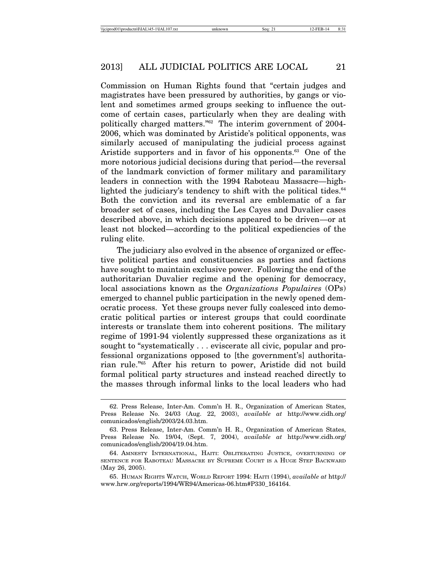Commission on Human Rights found that "certain judges and magistrates have been pressured by authorities, by gangs or violent and sometimes armed groups seeking to influence the outcome of certain cases, particularly when they are dealing with politically charged matters."62 The interim government of 2004- 2006, which was dominated by Aristide's political opponents, was similarly accused of manipulating the judicial process against Aristide supporters and in favor of his opponents.<sup>63</sup> One of the more notorious judicial decisions during that period—the reversal of the landmark conviction of former military and paramilitary leaders in connection with the 1994 Raboteau Massacre—highlighted the judiciary's tendency to shift with the political tides. $64$ Both the conviction and its reversal are emblematic of a far broader set of cases, including the Les Cayes and Duvalier cases described above, in which decisions appeared to be driven—or at least not blocked—according to the political expediencies of the ruling elite.

The judiciary also evolved in the absence of organized or effective political parties and constituencies as parties and factions have sought to maintain exclusive power. Following the end of the authoritarian Duvalier regime and the opening for democracy, local associations known as the *Organizations Populaires* (OPs) emerged to channel public participation in the newly opened democratic process. Yet these groups never fully coalesced into democratic political parties or interest groups that could coordinate interests or translate them into coherent positions. The military regime of 1991-94 violently suppressed these organizations as it sought to "systematically . . . eviscerate all civic, popular and professional organizations opposed to [the government's] authoritarian rule."65 After his return to power, Aristide did not build formal political party structures and instead reached directly to the masses through informal links to the local leaders who had

<sup>62.</sup> Press Release, Inter-Am. Comm'n H. R., Organization of American States, Press Release No. 24/03 (Aug. 22, 2003), *available at* http://www.cidh.org/ comunicados/english/2003/24.03.htm.

<sup>63.</sup> Press Release, Inter-Am. Comm'n H. R., Organization of American States, Press Release No. 19/04, (Sept. 7, 2004), *available at* http://www.cidh.org/ comunicados/english/2004/19.04.htm.

<sup>64.</sup> AMNESTY INTERNATIONAL, HAITI: OBLITERATING JUSTICE, OVERTURNING OF SENTENCE FOR RABOTEAU MASSACRE BY SUPREME COURT IS A HUGE STEP BACKWARD (May 26, 2005).

<sup>65.</sup> HUMAN RIGHTS WATCH, WORLD REPORT 1994: HAITI (1994), *available at* http:// www.hrw.org/reports/1994/WR94/Americas-06.htm#P330\_164164.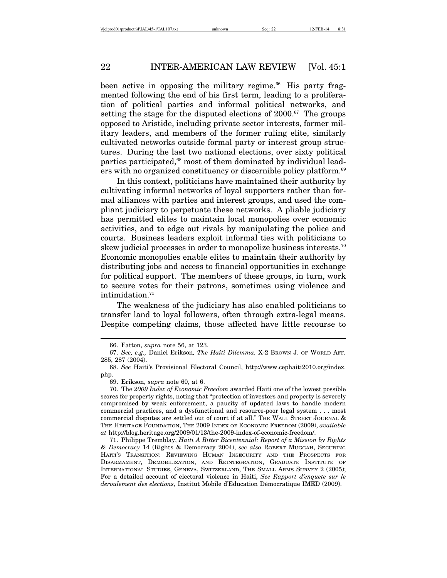been active in opposing the military regime. $66$  His party fragmented following the end of his first term, leading to a proliferation of political parties and informal political networks, and setting the stage for the disputed elections of  $2000$ .<sup>67</sup> The groups opposed to Aristide, including private sector interests, former military leaders, and members of the former ruling elite, similarly cultivated networks outside formal party or interest group structures. During the last two national elections, over sixty political parties participated,<sup>68</sup> most of them dominated by individual leaders with no organized constituency or discernible policy platform.<sup>69</sup>

In this context, politicians have maintained their authority by cultivating informal networks of loyal supporters rather than formal alliances with parties and interest groups, and used the compliant judiciary to perpetuate these networks. A pliable judiciary has permitted elites to maintain local monopolies over economic activities, and to edge out rivals by manipulating the police and courts. Business leaders exploit informal ties with politicians to skew judicial processes in order to monopolize business interests.<sup>70</sup> Economic monopolies enable elites to maintain their authority by distributing jobs and access to financial opportunities in exchange for political support. The members of these groups, in turn, work to secure votes for their patrons, sometimes using violence and intimidation.71

The weakness of the judiciary has also enabled politicians to transfer land to loyal followers, often through extra-legal means. Despite competing claims, those affected have little recourse to

<sup>66.</sup> Fatton, *supra* note 56, at 123.

<sup>67.</sup> *See, e.g.,* Daniel Erikson*, The Haiti Dilemma,* X-2 BROWN J. OF WORLD AFF*.* 285, 287 (2004).

<sup>68.</sup> *See* Haiti's Provisional Electoral Council, http://www.cephaiti2010.org/index. php.

<sup>69.</sup> Erikson, *supra* note 60, at 6.

<sup>70.</sup> The *2009 Index of Economic Freedom* awarded Haiti one of the lowest possible scores for property rights, noting that "protection of investors and property is severely compromised by weak enforcement, a paucity of updated laws to handle modern commercial practices, and a dysfunctional and resource-poor legal system . . . most commercial disputes are settled out of court if at all." THE WALL STREET JOURNAL & THE HERITAGE FOUNDATION, THE 2009 INDEX OF ECONOMIC FREEDOM (2009), *available at* http://blog.heritage.org/2009/01/13/the-2009-index-of-economic-freedom/.

<sup>71.</sup> Philippe Tremblay, *Haiti A Bitter Bicentennial: Report of a Mission by Rights & Democracy* 14 (Rights & Democracy 2004), *see also* ROBERT MUGGAH, SECURING HAITI'S TRANSITION: REVIEWING HUMAN INSECURITY AND THE PROSPECTS FOR DISARMAMENT, DEMOBILIZATION, AND REINTEGRATION, GRADUATE INSTITUTE OF INTERNATIONAL STUDIES, GENEVA, SWITZERLAND, THE SMALL ARMS SURVEY 2 (2005); For a detailed account of electoral violence in Haiti, *See Rapport d'enquete sur le deroulement des elections*, Institut Mobile d'Education D´emocratique IMED (2009).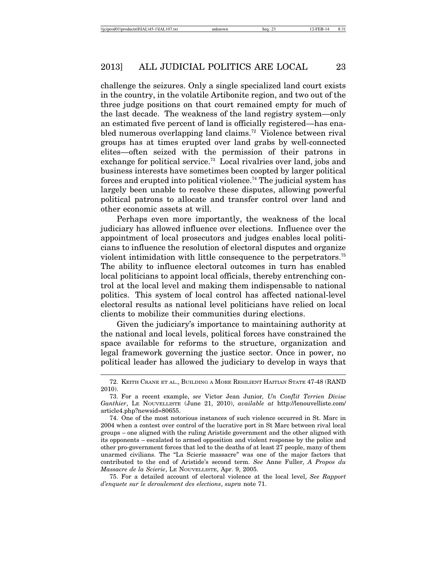challenge the seizures. Only a single specialized land court exists in the country, in the volatile Artibonite region, and two out of the three judge positions on that court remained empty for much of the last decade. The weakness of the land registry system—only an estimated five percent of land is officially registered—has enabled numerous overlapping land claims.<sup>72</sup> Violence between rival groups has at times erupted over land grabs by well-connected elites—often seized with the permission of their patrons in exchange for political service.<sup>73</sup> Local rivalries over land, jobs and business interests have sometimes been coopted by larger political forces and erupted into political violence.74 The judicial system has largely been unable to resolve these disputes, allowing powerful political patrons to allocate and transfer control over land and other economic assets at will.

Perhaps even more importantly, the weakness of the local judiciary has allowed influence over elections. Influence over the appointment of local prosecutors and judges enables local politicians to influence the resolution of electoral disputes and organize violent intimidation with little consequence to the perpetrators.75 The ability to influence electoral outcomes in turn has enabled local politicians to appoint local officials, thereby entrenching control at the local level and making them indispensable to national politics. This system of local control has affected national-level electoral results as national level politicians have relied on local clients to mobilize their communities during elections.

Given the judiciary's importance to maintaining authority at the national and local levels, political forces have constrained the space available for reforms to the structure, organization and legal framework governing the justice sector. Once in power, no political leader has allowed the judiciary to develop in ways that

75. For a detailed account of electoral violence at the local level, *See Rapport d'enquete sur le deroulement des elections*, *supra* note 71.

<sup>72.</sup> KEITH CRANE ET AL., BUILDING A MORE RESILIENT HAITIAN STATE 47-48 (RAND 2010).

<sup>73.</sup> For a recent example, *see* Victor Jean Junior*, Un Conflit Terrien Divise Ganthier*, LE NOUVELLISTE (June 21, 2010), *available at* http://lenouvelliste.com/ article4.php?newsid=80655.

<sup>74.</sup> One of the most notorious instances of such violence occurred in St. Marc in 2004 when a contest over control of the lucrative port in St Marc between rival local groups – one aligned with the ruling Aristide government and the other aligned with its opponents – escalated to armed opposition and violent response by the police and other pro-government forces that led to the deaths of at least 27 people, many of them unarmed civilians. The "La Scierie massacre" was one of the major factors that contributed to the end of Aristide's second term. *See* Anne Fuller, *A Propos du Massacre de la Scierie*, LE NOUVELLISTE, Apr. 9, 2005.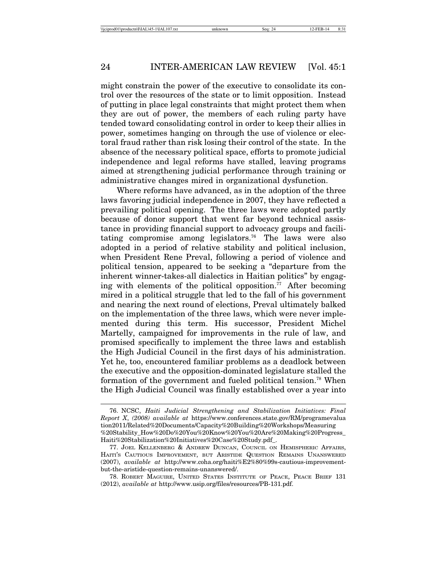might constrain the power of the executive to consolidate its control over the resources of the state or to limit opposition. Instead of putting in place legal constraints that might protect them when they are out of power, the members of each ruling party have tended toward consolidating control in order to keep their allies in power, sometimes hanging on through the use of violence or electoral fraud rather than risk losing their control of the state. In the absence of the necessary political space, efforts to promote judicial independence and legal reforms have stalled, leaving programs aimed at strengthening judicial performance through training or administrative changes mired in organizational dysfunction.

Where reforms have advanced, as in the adoption of the three laws favoring judicial independence in 2007, they have reflected a prevailing political opening. The three laws were adopted partly because of donor support that went far beyond technical assistance in providing financial support to advocacy groups and facilitating compromise among legislators.76 The laws were also adopted in a period of relative stability and political inclusion, when President Rene Preval, following a period of violence and political tension, appeared to be seeking a "departure from the inherent winner-takes-all dialectics in Haitian politics" by engaging with elements of the political opposition.<sup>77</sup> After becoming mired in a political struggle that led to the fall of his government and nearing the next round of elections, Preval ultimately balked on the implementation of the three laws, which were never implemented during this term. His successor, President Michel Martelly, campaigned for improvements in the rule of law, and promised specifically to implement the three laws and establish the High Judicial Council in the first days of his administration. Yet he, too, encountered familiar problems as a deadlock between the executive and the opposition-dominated legislature stalled the formation of the government and fueled political tension.78 When the High Judicial Council was finally established over a year into

<sup>76.</sup> NCSC, *Haiti Judicial Strengthening and Stabilization Initiatives: Final Report X*, *(2008) available at* https://www.conferences.state.gov/RM/programevalua tion2011/Related%20Documents/Capacity%20Building%20Workshops/Measuring %20Stability\_How%20Do%20You%20Know%20You%20Are%20Making%20Progress\_ Haiti%20Stabilization%20Initiatives%20Case%20Study.pdf\_.

<sup>77.</sup> JOEL KELLENBERG & ANDREW DUNCAN, COUNCIL ON HEMISPHERIC AFFAIRS, HAITI'S CAUTIOUS IMPROVEMENT, BUT ARISTIDE QUESTION REMAINS UNANSWERED (2007), *available at* http://www.coha.org/haiti%E2%80%99s-cautious-improvementbut-the-aristide-question-remains-unanswered/.

<sup>78.</sup> ROBERT MAGUIRE, UNITED STATES INSTITUTE OF PEACE, PEACE BRIEF 131 (2012), *available at* http://www.usip.org/files/resources/PB-131.pdf.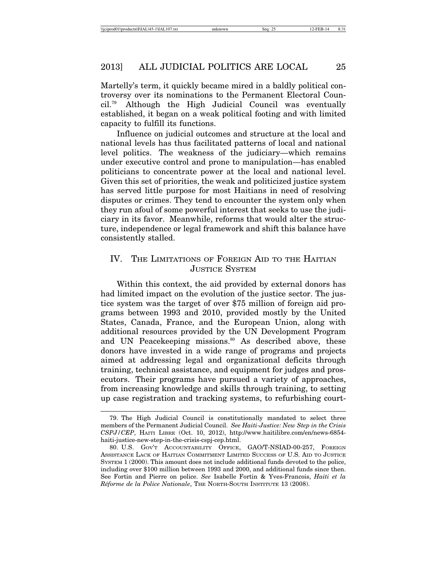Martelly's term, it quickly became mired in a baldly political controversy over its nominations to the Permanent Electoral Council.79 Although the High Judicial Council was eventually established, it began on a weak political footing and with limited capacity to fulfill its functions.

Influence on judicial outcomes and structure at the local and national levels has thus facilitated patterns of local and national level politics. The weakness of the judiciary—which remains under executive control and prone to manipulation—has enabled politicians to concentrate power at the local and national level. Given this set of priorities, the weak and politicized justice system has served little purpose for most Haitians in need of resolving disputes or crimes. They tend to encounter the system only when they run afoul of some powerful interest that seeks to use the judiciary in its favor. Meanwhile, reforms that would alter the structure, independence or legal framework and shift this balance have consistently stalled.

# IV. THE LIMITATIONS OF FOREIGN AID TO THE HAITIAN JUSTICE SYSTEM

Within this context, the aid provided by external donors has had limited impact on the evolution of the justice sector. The justice system was the target of over \$75 million of foreign aid programs between 1993 and 2010, provided mostly by the United States, Canada, France, and the European Union, along with additional resources provided by the UN Development Program and UN Peacekeeping missions.<sup>80</sup> As described above, these donors have invested in a wide range of programs and projects aimed at addressing legal and organizational deficits through training, technical assistance, and equipment for judges and prosecutors. Their programs have pursued a variety of approaches, from increasing knowledge and skills through training, to setting up case registration and tracking systems, to refurbishing court-

<sup>79.</sup> The High Judicial Council is constitutionally mandated to select three members of the Permanent Judicial Council. *See Haiti-Justice: New Step in the Crisis CSPJ/CEP*, HAITI LIBRE (Oct. 10, 2012), http://www.haitilibre.com/en/news-6854 haiti-justice-new-step-in-the-crisis-cspj-cep.html.

<sup>80.</sup> U.S. GOV'T ACCOUNTABILITY OFFICE, GAO/T-NSIAD-00-257, FOREIGN ASSISTANCE LACK OF HAITIAN COMMITMENT LIMITED SUCCESS OF U.S. AID TO JUSTICE SYSTEM 1 (2000). This amount does not include additional funds devoted to the police, including over \$100 million between 1993 and 2000, and additional funds since then. See Fortin and Pierre on police. *See* Isabelle Fortin & Yves-Francois, *Haiti et la Réforme de la Police Nationale*, THE NORTH-SOUTH INSTITUTE 13 (2008).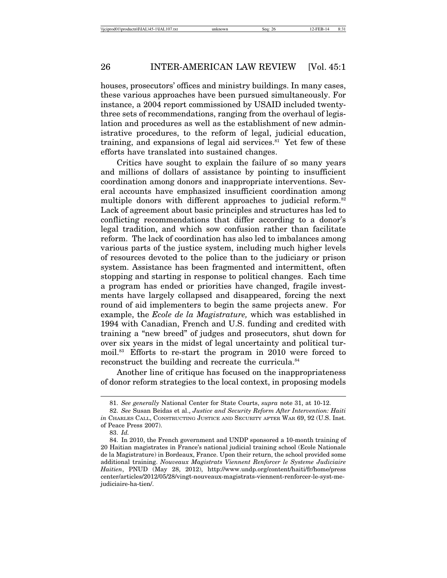houses, prosecutors' offices and ministry buildings. In many cases, these various approaches have been pursued simultaneously. For instance, a 2004 report commissioned by USAID included twentythree sets of recommendations, ranging from the overhaul of legislation and procedures as well as the establishment of new administrative procedures, to the reform of legal, judicial education, training, and expansions of legal aid services. $81$  Yet few of these efforts have translated into sustained changes.

Critics have sought to explain the failure of so many years and millions of dollars of assistance by pointing to insufficient coordination among donors and inappropriate interventions. Several accounts have emphasized insufficient coordination among multiple donors with different approaches to judicial reform.<sup>82</sup> Lack of agreement about basic principles and structures has led to conflicting recommendations that differ according to a donor's legal tradition, and which sow confusion rather than facilitate reform. The lack of coordination has also led to imbalances among various parts of the justice system, including much higher levels of resources devoted to the police than to the judiciary or prison system. Assistance has been fragmented and intermittent, often stopping and starting in response to political changes. Each time a program has ended or priorities have changed, fragile investments have largely collapsed and disappeared, forcing the next round of aid implementers to begin the same projects anew. For example, the *Ecole de la Magistrature,* which was established in 1994 with Canadian, French and U.S. funding and credited with training a "new breed" of judges and prosecutors, shut down for over six years in the midst of legal uncertainty and political turmoil.83 Efforts to re-start the program in 2010 were forced to reconstruct the building and recreate the curricula.<sup>84</sup>

Another line of critique has focused on the inappropriateness of donor reform strategies to the local context, in proposing models

<sup>81.</sup> *See generally* National Center for State Courts, *supra* note 31, at 10-12.

<sup>82.</sup> *See* Susan Beidas et al., *Justice and Security Reform After Intervention: Haiti in* CHARLES CALL, CONSTRUCTING JUSTICE AND SECURITY AFTER WAR 69, 92 (U.S. Inst. of Peace Press 2007).

<sup>83.</sup> *Id.*

<sup>84.</sup> In 2010, the French government and UNDP sponsored a 10-month training of 20 Haitian magistrates in France's national judicial training school (Ecole Nationale de la Magistrature) in Bordeaux, France. Upon their return, the school provided some additional training. *Nouveaux Magistrats Viennent Renforcer le Systeme Judiciaire Haitien*, PNUD (May 28, 2012), http://www.undp.org/content/haiti/fr/home/press center/articles/2012/05/28/vingt-nouveaux-magistrats-viennent-renforcer-le-syst-mejudiciaire-ha-tien/.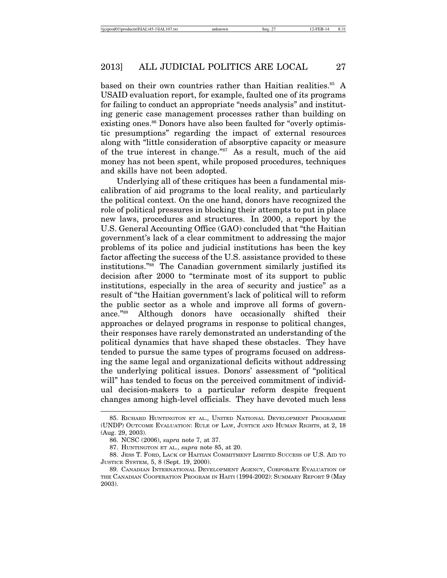based on their own countries rather than Haitian realities.<sup>85</sup> A USAID evaluation report, for example, faulted one of its programs for failing to conduct an appropriate "needs analysis" and instituting generic case management processes rather than building on existing ones.<sup>86</sup> Donors have also been faulted for "overly optimistic presumptions" regarding the impact of external resources along with "little consideration of absorptive capacity or measure of the true interest in change."87 As a result, much of the aid money has not been spent, while proposed procedures, techniques and skills have not been adopted.

Underlying all of these critiques has been a fundamental miscalibration of aid programs to the local reality, and particularly the political context. On the one hand, donors have recognized the role of political pressures in blocking their attempts to put in place new laws, procedures and structures. In 2000, a report by the U.S. General Accounting Office (GAO) concluded that "the Haitian government's lack of a clear commitment to addressing the major problems of its police and judicial institutions has been the key factor affecting the success of the U.S. assistance provided to these institutions."88 The Canadian government similarly justified its decision after 2000 to "terminate most of its support to public institutions, especially in the area of security and justice" as a result of "the Haitian government's lack of political will to reform the public sector as a whole and improve all forms of governance."89 Although donors have occasionally shifted their approaches or delayed programs in response to political changes, their responses have rarely demonstrated an understanding of the political dynamics that have shaped these obstacles. They have tended to pursue the same types of programs focused on addressing the same legal and organizational deficits without addressing the underlying political issues. Donors' assessment of "political will" has tended to focus on the perceived commitment of individual decision-makers to a particular reform despite frequent changes among high-level officials. They have devoted much less

<sup>85.</sup> RICHARD HUNTINGTON ET AL., UNITED NATIONAL DEVELOPMENT PROGRAMME (UNDP) OUTCOME EVALUATION: RULE OF LAW, JUSTICE AND HUMAN RIGHTS, at 2, 18 (Aug. 29, 2003).

<sup>86.</sup> NCSC (2006), *supra* note 7, at 37.

<sup>87.</sup> HUNTINGTON ET AL., *supra* note 85, at 20.

<sup>88.</sup> JESS T. FORD, LACK OF HAITIAN COMMITMENT LIMITED SUCCESS OF U.S. AID TO JUSTICE SYSTEM, 5, 8 (Sept. 19, 2000).

<sup>89.</sup> CANADIAN INTERNATIONAL DEVELOPMENT AGENCY, CORPORATE EVALUATION OF THE CANADIAN COOPERATION PROGRAM IN HAITI (1994-2002): SUMMARY REPORT 9 (May 2003).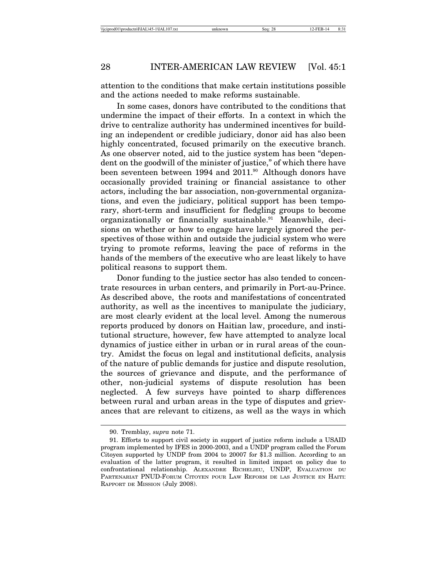attention to the conditions that make certain institutions possible and the actions needed to make reforms sustainable.

In some cases, donors have contributed to the conditions that undermine the impact of their efforts. In a context in which the drive to centralize authority has undermined incentives for building an independent or credible judiciary, donor aid has also been highly concentrated, focused primarily on the executive branch. As one observer noted, aid to the justice system has been "dependent on the goodwill of the minister of justice," of which there have been seventeen between 1994 and 2011.<sup>90</sup> Although donors have occasionally provided training or financial assistance to other actors, including the bar association, non-governmental organizations, and even the judiciary, political support has been temporary, short-term and insufficient for fledgling groups to become organizationally or financially sustainable.<sup>91</sup> Meanwhile, decisions on whether or how to engage have largely ignored the perspectives of those within and outside the judicial system who were trying to promote reforms, leaving the pace of reforms in the hands of the members of the executive who are least likely to have political reasons to support them.

Donor funding to the justice sector has also tended to concentrate resources in urban centers, and primarily in Port-au-Prince. As described above, the roots and manifestations of concentrated authority, as well as the incentives to manipulate the judiciary, are most clearly evident at the local level. Among the numerous reports produced by donors on Haitian law, procedure, and institutional structure, however, few have attempted to analyze local dynamics of justice either in urban or in rural areas of the country. Amidst the focus on legal and institutional deficits, analysis of the nature of public demands for justice and dispute resolution, the sources of grievance and dispute, and the performance of other, non-judicial systems of dispute resolution has been neglected. A few surveys have pointed to sharp differences between rural and urban areas in the type of disputes and grievances that are relevant to citizens, as well as the ways in which

<sup>90.</sup> Tremblay, *supra* note 71.

<sup>91.</sup> Efforts to support civil society in support of justice reform include a USAID program implemented by IFES in 2000-2003, and a UNDP program called the Forum Citoyen supported by UNDP from 2004 to 20007 for \$1.3 million. According to an evaluation of the latter program, it resulted in limited impact on policy due to confrontational relationship. ALEXANDRE RICHELIEU, UNDP, EVALUATION DU PARTENARIAT PNUD-FORUM CITOYEN POUR LAW REFORM DE LAS JUSTICE EN HAITI: RAPPORT DE MISSION (July 2008).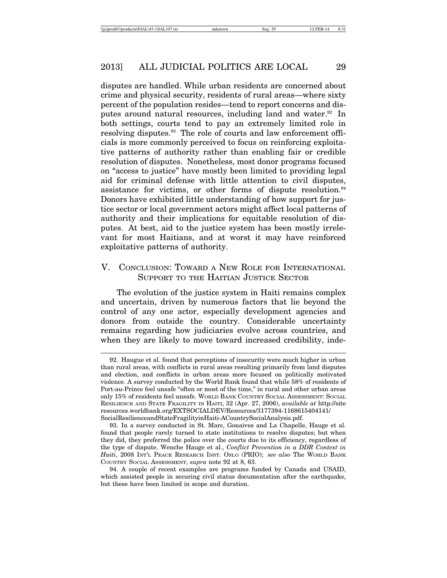disputes are handled. While urban residents are concerned about crime and physical security, residents of rural areas—where sixty percent of the population resides—tend to report concerns and disputes around natural resources, including land and water.<sup>92</sup> In both settings, courts tend to pay an extremely limited role in resolving disputes.<sup>93</sup> The role of courts and law enforcement officials is more commonly perceived to focus on reinforcing exploitative patterns of authority rather than enabling fair or credible resolution of disputes. Nonetheless, most donor programs focused on "access to justice" have mostly been limited to providing legal aid for criminal defense with little attention to civil disputes, assistance for victims, or other forms of dispute resolution. $94$ Donors have exhibited little understanding of how support for justice sector or local government actors might affect local patterns of authority and their implications for equitable resolution of disputes. At best, aid to the justice system has been mostly irrelevant for most Haitians, and at worst it may have reinforced exploitative patterns of authority.

# V. CONCLUSION: TOWARD A NEW ROLE FOR INTERNATIONAL SUPPORT TO THE HAITIAN JUSTICE SECTOR

The evolution of the justice system in Haiti remains complex and uncertain, driven by numerous factors that lie beyond the control of any one actor, especially development agencies and donors from outside the country. Considerable uncertainty remains regarding how judiciaries evolve across countries, and when they are likely to move toward increased credibility, inde-

<sup>92.</sup> Haugue et al. found that perceptions of insecurity were much higher in urban than rural areas, with conflicts in rural areas resulting primarily from land disputes and election, and conflicts in urban areas more focused on politically motivated violence. A survey conducted by the World Bank found that while 58% of residents of Port-au-Prince feel unsafe "often or most of the time," in rural and other urban areas only 15% of residents feel unsafe. WORLD BANK COUNTRY SOCIAL ASSESSMENT: SOCIAL RESILIENCE AND STATE FRAGILITY IN HAITI, 32 (Apr. 27, 2006), *available at* http://site resources.worldbank.org/EXTSOCIALDEV/Resources/3177394-1168615404141/ SocialResilienceandStateFragilityinHaiti-ACountrySocialAnalysis.pdf.

<sup>93.</sup> In a survey conducted in St. Marc, Gonaives and La Chapelle, Hauge et al. found that people rarely turned to state institutions to resolve disputes; but when they did, they preferred the police over the courts due to its efficiency, regardless of the type of dispute. Wenche Hauge et al., *Conflict Prevention in a DDR Context in Haiti*, 2008 INT'L PEACE RESEARCH INST. OSLO (PRIO); *see also* The WORLD BANK COUNTRY SOCIAL ASSESSMENT, *supra* note 92 at 8, 63.

<sup>94.</sup> A couple of recent examples are programs funded by Canada and USAID, which assisted people in securing civil status documentation after the earthquake, but these have been limited in scope and duration.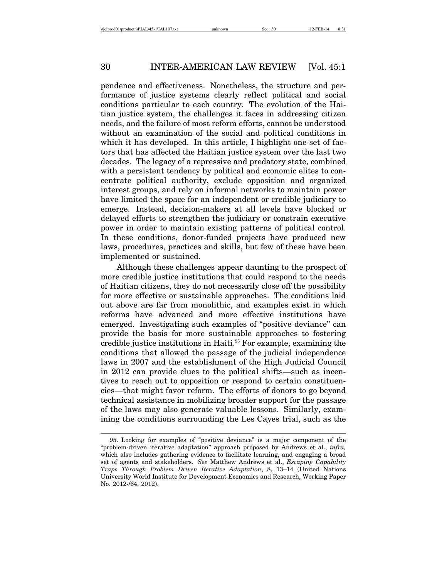pendence and effectiveness. Nonetheless, the structure and performance of justice systems clearly reflect political and social conditions particular to each country. The evolution of the Haitian justice system, the challenges it faces in addressing citizen needs, and the failure of most reform efforts, cannot be understood without an examination of the social and political conditions in which it has developed. In this article, I highlight one set of factors that has affected the Haitian justice system over the last two decades. The legacy of a repressive and predatory state, combined with a persistent tendency by political and economic elites to concentrate political authority, exclude opposition and organized interest groups, and rely on informal networks to maintain power have limited the space for an independent or credible judiciary to emerge. Instead, decision-makers at all levels have blocked or delayed efforts to strengthen the judiciary or constrain executive power in order to maintain existing patterns of political control. In these conditions, donor-funded projects have produced new laws, procedures, practices and skills, but few of these have been implemented or sustained.

Although these challenges appear daunting to the prospect of more credible justice institutions that could respond to the needs of Haitian citizens, they do not necessarily close off the possibility for more effective or sustainable approaches. The conditions laid out above are far from monolithic, and examples exist in which reforms have advanced and more effective institutions have emerged. Investigating such examples of "positive deviance" can provide the basis for more sustainable approaches to fostering credible justice institutions in Haiti.95 For example, examining the conditions that allowed the passage of the judicial independence laws in 2007 and the establishment of the High Judicial Council in 2012 can provide clues to the political shifts—such as incentives to reach out to opposition or respond to certain constituencies—that might favor reform. The efforts of donors to go beyond technical assistance in mobilizing broader support for the passage of the laws may also generate valuable lessons. Similarly, examining the conditions surrounding the Les Cayes trial, such as the

<sup>95.</sup> Looking for examples of "positive deviance" is a major component of the "problem-driven iterative adaptation" approach proposed by Andrews et al., *infra,* which also includes gathering evidence to facilitate learning, and engaging a broad set of agents and stakeholders. *See* Matthew Andrews et al., *Escaping Capability Traps Through Problem Driven Iterative Adaptation*, 8, 13–14 (United Nations University World Institute for Development Economics and Research, Working Paper No. 2012-/64, 2012).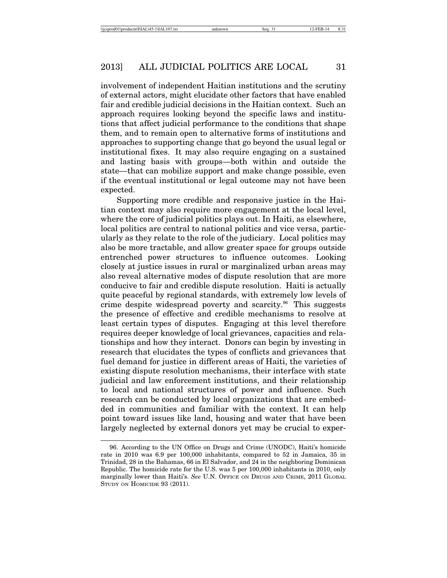involvement of independent Haitian institutions and the scrutiny of external actors, might elucidate other factors that have enabled fair and credible judicial decisions in the Haitian context. Such an approach requires looking beyond the specific laws and institutions that affect judicial performance to the conditions that shape them, and to remain open to alternative forms of institutions and approaches to supporting change that go beyond the usual legal or institutional fixes. It may also require engaging on a sustained and lasting basis with groups—both within and outside the state—that can mobilize support and make change possible, even if the eventual institutional or legal outcome may not have been expected.

Supporting more credible and responsive justice in the Haitian context may also require more engagement at the local level, where the core of judicial politics plays out. In Haiti, as elsewhere, local politics are central to national politics and vice versa, particularly as they relate to the role of the judiciary. Local politics may also be more tractable, and allow greater space for groups outside entrenched power structures to influence outcomes. Looking closely at justice issues in rural or marginalized urban areas may also reveal alternative modes of dispute resolution that are more conducive to fair and credible dispute resolution. Haiti is actually quite peaceful by regional standards, with extremely low levels of crime despite widespread poverty and scarcity.<sup>96</sup> This suggests the presence of effective and credible mechanisms to resolve at least certain types of disputes. Engaging at this level therefore requires deeper knowledge of local grievances, capacities and relationships and how they interact. Donors can begin by investing in research that elucidates the types of conflicts and grievances that fuel demand for justice in different areas of Haiti, the varieties of existing dispute resolution mechanisms, their interface with state judicial and law enforcement institutions, and their relationship to local and national structures of power and influence. Such research can be conducted by local organizations that are embedded in communities and familiar with the context. It can help point toward issues like land, housing and water that have been largely neglected by external donors yet may be crucial to exper-

<sup>96.</sup> According to the UN Office on Drugs and Crime (UNODC), Haiti's homicide rate in 2010 was 6.9 per 100,000 inhabitants, compared to 52 in Jamaica, 35 in Trinidad, 28 in the Bahamas, 66 in El Salvador, and 24 in the neighboring Dominican Republic. The homicide rate for the U.S. was 5 per 100,000 inhabitants in 2010, only marginally lower than Haiti's. *See* U.N. OFFICE ON DRUGS AND CRIME, 2011 GLOBAL STUDY ON HOMICIDE 93 (2011).